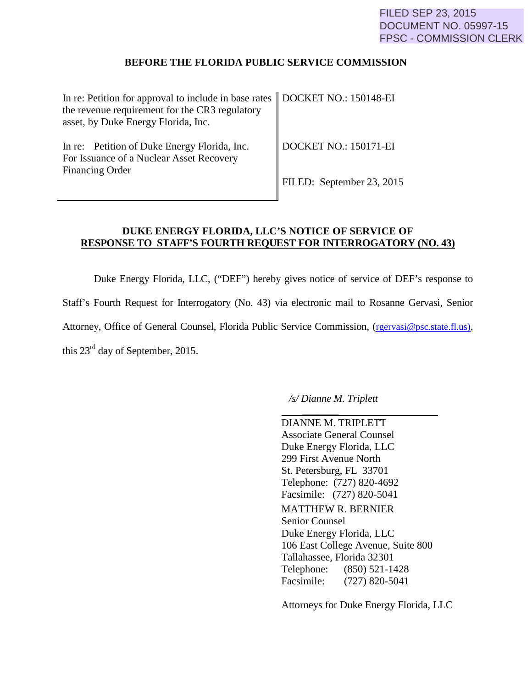## **BEFORE THE FLORIDA PUBLIC SERVICE COMMISSION**

| In re: Petition for approval to include in base rates   DOCKET NO.: 150148-EI<br>the revenue requirement for the CR3 regulatory<br>asset, by Duke Energy Florida, Inc. |                                   |
|------------------------------------------------------------------------------------------------------------------------------------------------------------------------|-----------------------------------|
| In re: Petition of Duke Energy Florida, Inc.<br>For Issuance of a Nuclear Asset Recovery<br><b>Financing Order</b>                                                     | $\parallel$ DOCKET NO.: 150171-EI |
|                                                                                                                                                                        | FILED: September 23, 2015         |

## **DUKE ENERGY FLORIDA, LLC'S NOTICE OF SERVICE OF RESPONSE TO STAFF'S FOURTH REQUEST FOR INTERROGATORY (NO. 43)**

Duke Energy Florida, LLC, ("DEF") hereby gives notice of service of DEF's response to Staff's Fourth Request for Interrogatory (No. 43) via electronic mail to Rosanne Gervasi, Senior Attorney, Office of General Counsel, Florida Public Service Commission, (rgervasi@psc.state.fl.us), this 23rd day of September, 2015.

*/s/ Dianne M. Triplett*

 *\_\_\_\_\_\_\_* DIANNE M. TRIPLETT Associate General Counsel Duke Energy Florida, LLC 299 First Avenue North St. Petersburg, FL 33701 Telephone: (727) 820-4692 Facsimile: (727) 820-5041 MATTHEW R. BERNIER Senior Counsel Duke Energy Florida, LLC 106 East College Avenue, Suite 800 Tallahassee, Florida 32301 Telephone: (850) 521-1428 Facsimile: (727) 820-5041

Attorneys for Duke Energy Florida, LLC